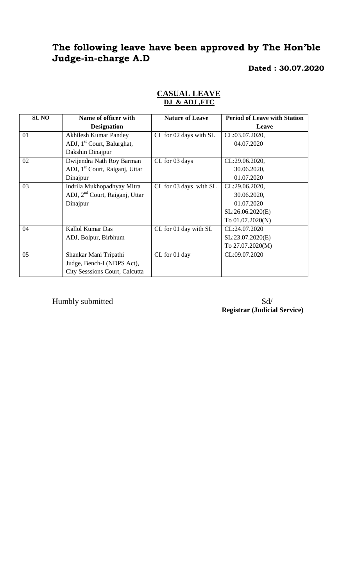# **The following leave have been approved by The Hon'ble Judge-in-charge A.D**

#### **Dated : 30.07.2020**

| <b>SL NO</b> | Name of officer with                       | <b>Nature of Leave</b> | <b>Period of Leave with Station</b> |
|--------------|--------------------------------------------|------------------------|-------------------------------------|
|              | <b>Designation</b>                         |                        | Leave                               |
| 01           | <b>Akhilesh Kumar Pandey</b>               | CL for 02 days with SL | CL:03.07.2020,                      |
|              | ADJ, 1 <sup>st</sup> Court, Balurghat,     |                        | 04.07.2020                          |
|              | Dakshin Dinajpur                           |                        |                                     |
| 02           | Dwijendra Nath Roy Barman                  | CL for 03 days         | CL:29.06.2020,                      |
|              | ADJ, 1 <sup>st</sup> Court, Raiganj, Uttar |                        | 30.06.2020,                         |
|              | Dinajpur                                   |                        | 01.07.2020                          |
| 03           | Indrila Mukhopadhyay Mitra                 | CL for 03 days with SL | CL:29.06.2020,                      |
|              | ADJ, 2 <sup>nd</sup> Court, Raiganj, Uttar |                        | 30.06.2020,                         |
|              | Dinajpur                                   |                        | 01.07.2020                          |
|              |                                            |                        | SL:26.06.2020(E)                    |
|              |                                            |                        | To 01.07.2020(N)                    |
| 04           | Kallol Kumar Das                           | CL for 01 day with SL  | CL:24.07.2020                       |
|              | ADJ, Bolpur, Birbhum                       |                        | SL:23.07.2020(E)                    |
|              |                                            |                        | To 27.07.2020(M)                    |
| 05           | Shankar Mani Tripathi                      | CL for 01 day          | CL:09.07.2020                       |
|              | Judge, Bench-I (NDPS Act),                 |                        |                                     |
|              | City Sesssions Court, Calcutta             |                        |                                     |

#### **CASUAL LEAVE DJ & ADJ ,FTC**

Humbly submitted Sd/

**Registrar (Judicial Service)**